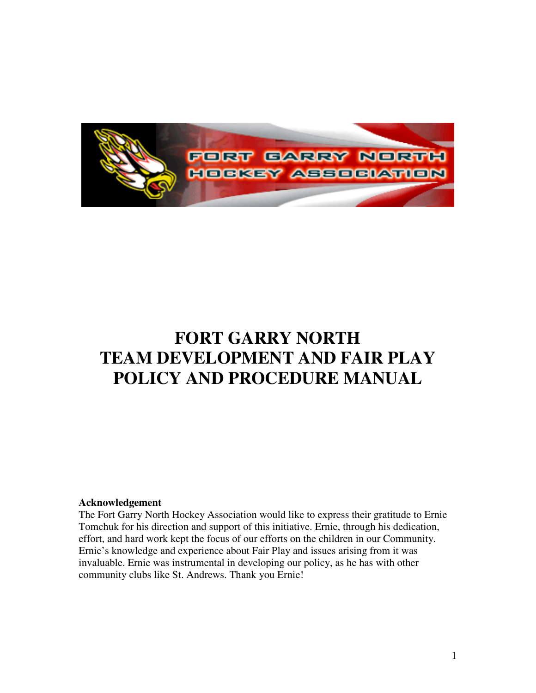

## **FORT GARRY NORTH TEAM DEVELOPMENT AND FAIR PLAY POLICY AND PROCEDURE MANUAL**

#### **Acknowledgement**

The Fort Garry North Hockey Association would like to express their gratitude to Ernie Tomchuk for his direction and support of this initiative. Ernie, through his dedication, effort, and hard work kept the focus of our efforts on the children in our Community. Ernie's knowledge and experience about Fair Play and issues arising from it was invaluable. Ernie was instrumental in developing our policy, as he has with other community clubs like St. Andrews. Thank you Ernie!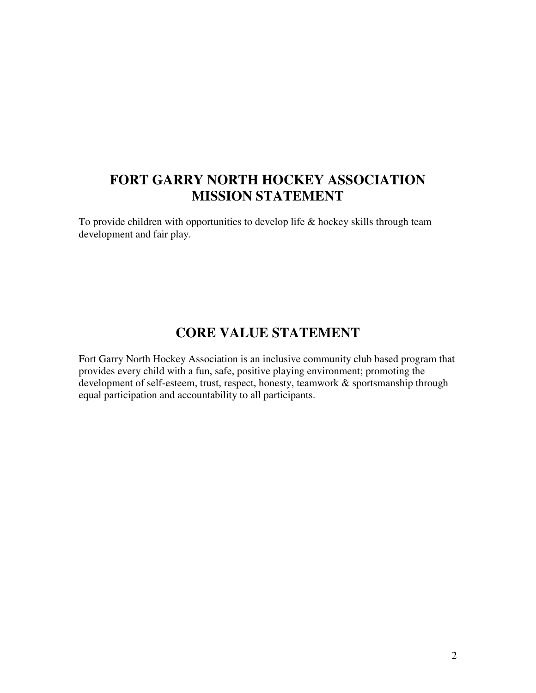## **FORT GARRY NORTH HOCKEY ASSOCIATION MISSION STATEMENT**

To provide children with opportunities to develop life & hockey skills through team development and fair play.

## **CORE VALUE STATEMENT**

Fort Garry North Hockey Association is an inclusive community club based program that provides every child with a fun, safe, positive playing environment; promoting the development of self-esteem, trust, respect, honesty, teamwork & sportsmanship through equal participation and accountability to all participants.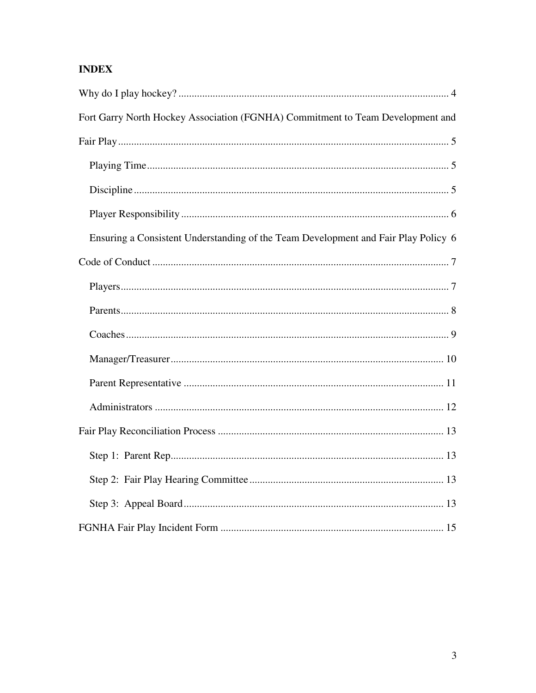### **INDEX**

| Fort Garry North Hockey Association (FGNHA) Commitment to Team Development and     |
|------------------------------------------------------------------------------------|
|                                                                                    |
|                                                                                    |
|                                                                                    |
|                                                                                    |
| Ensuring a Consistent Understanding of the Team Development and Fair Play Policy 6 |
|                                                                                    |
|                                                                                    |
|                                                                                    |
|                                                                                    |
|                                                                                    |
|                                                                                    |
|                                                                                    |
|                                                                                    |
|                                                                                    |
|                                                                                    |
|                                                                                    |
|                                                                                    |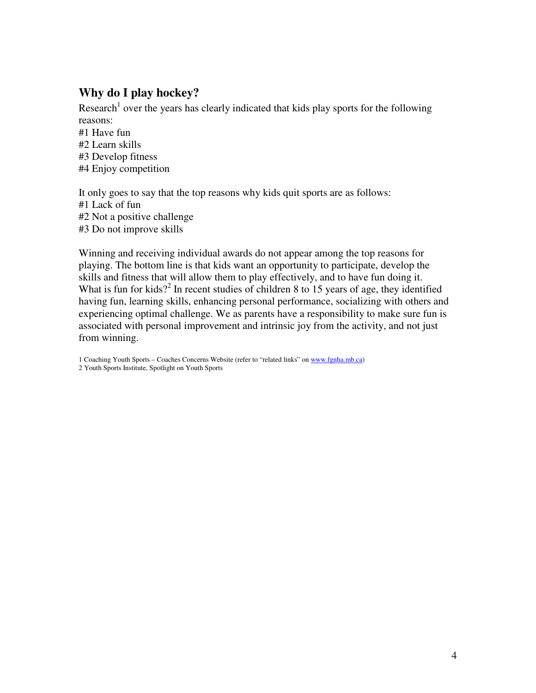#### **Why do I play hockey?**

Research<sup>1</sup> over the years has clearly indicated that kids play sports for the following reasons:

#1 Have fun #2 Learn skills #3 Develop fitness #4 Enjoy competition

It only goes to say that the top reasons why kids quit sports are as follows: #1 Lack of fun #2 Not a positive challenge #3 Do not improve skills

Winning and receiving individual awards do not appear among the top reasons for playing. The bottom line is that kids want an opportunity to participate, develop the skills and fitness that will allow them to play effectively, and to have fun doing it. What is fun for kids?<sup>2</sup> In recent studies of children 8 to 15 years of age, they identified having fun, learning skills, enhancing personal performance, socializing with others and experiencing optimal challenge. We as parents have a responsibility to make sure fun is associated with personal improvement and intrinsic joy from the activity, and not just from winning.

1 Coaching Youth Sports – Coaches Concerns Website (refer to "related links" on www.fgnha.mb.ca) 2 Youth Sports Institute, Spotlight on Youth Sports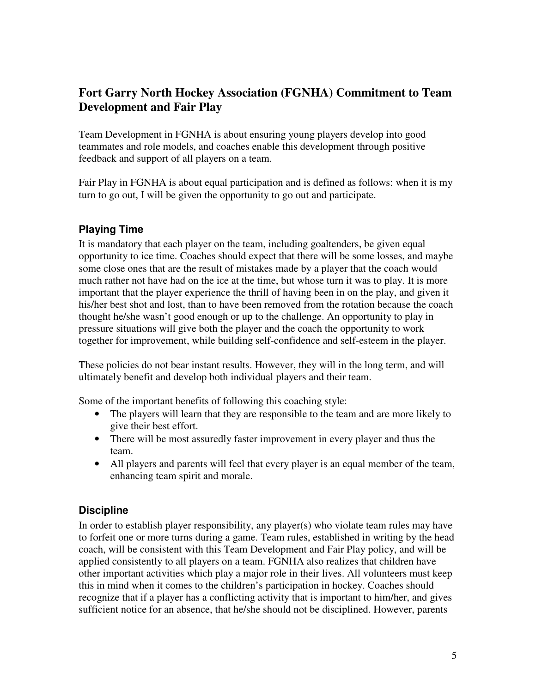### **Fort Garry North Hockey Association (FGNHA) Commitment to Team Development and Fair Play**

Team Development in FGNHA is about ensuring young players develop into good teammates and role models, and coaches enable this development through positive feedback and support of all players on a team.

Fair Play in FGNHA is about equal participation and is defined as follows: when it is my turn to go out, I will be given the opportunity to go out and participate.

#### **Playing Time**

It is mandatory that each player on the team, including goaltenders, be given equal opportunity to ice time. Coaches should expect that there will be some losses, and maybe some close ones that are the result of mistakes made by a player that the coach would much rather not have had on the ice at the time, but whose turn it was to play. It is more important that the player experience the thrill of having been in on the play, and given it his/her best shot and lost, than to have been removed from the rotation because the coach thought he/she wasn't good enough or up to the challenge. An opportunity to play in pressure situations will give both the player and the coach the opportunity to work together for improvement, while building self-confidence and self-esteem in the player.

These policies do not bear instant results. However, they will in the long term, and will ultimately benefit and develop both individual players and their team.

Some of the important benefits of following this coaching style:

- The players will learn that they are responsible to the team and are more likely to give their best effort.
- There will be most assuredly faster improvement in every player and thus the team.
- All players and parents will feel that every player is an equal member of the team, enhancing team spirit and morale.

#### **Discipline**

In order to establish player responsibility, any player(s) who violate team rules may have to forfeit one or more turns during a game. Team rules, established in writing by the head coach, will be consistent with this Team Development and Fair Play policy, and will be applied consistently to all players on a team. FGNHA also realizes that children have other important activities which play a major role in their lives. All volunteers must keep this in mind when it comes to the children's participation in hockey. Coaches should recognize that if a player has a conflicting activity that is important to him/her, and gives sufficient notice for an absence, that he/she should not be disciplined. However, parents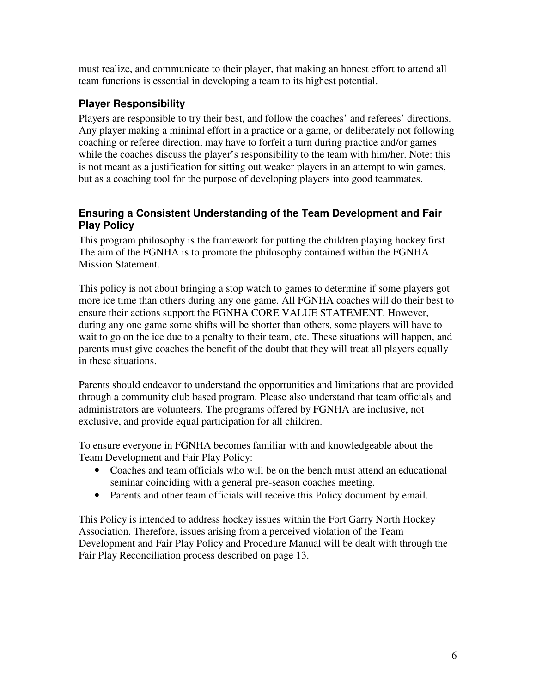must realize, and communicate to their player, that making an honest effort to attend all team functions is essential in developing a team to its highest potential.

#### **Player Responsibility**

Players are responsible to try their best, and follow the coaches' and referees' directions. Any player making a minimal effort in a practice or a game, or deliberately not following coaching or referee direction, may have to forfeit a turn during practice and/or games while the coaches discuss the player's responsibility to the team with him/her. Note: this is not meant as a justification for sitting out weaker players in an attempt to win games, but as a coaching tool for the purpose of developing players into good teammates.

#### **Ensuring a Consistent Understanding of the Team Development and Fair Play Policy**

This program philosophy is the framework for putting the children playing hockey first. The aim of the FGNHA is to promote the philosophy contained within the FGNHA Mission Statement.

This policy is not about bringing a stop watch to games to determine if some players got more ice time than others during any one game. All FGNHA coaches will do their best to ensure their actions support the FGNHA CORE VALUE STATEMENT. However, during any one game some shifts will be shorter than others, some players will have to wait to go on the ice due to a penalty to their team, etc. These situations will happen, and parents must give coaches the benefit of the doubt that they will treat all players equally in these situations.

Parents should endeavor to understand the opportunities and limitations that are provided through a community club based program. Please also understand that team officials and administrators are volunteers. The programs offered by FGNHA are inclusive, not exclusive, and provide equal participation for all children.

To ensure everyone in FGNHA becomes familiar with and knowledgeable about the Team Development and Fair Play Policy:

- Coaches and team officials who will be on the bench must attend an educational seminar coinciding with a general pre-season coaches meeting.
- Parents and other team officials will receive this Policy document by email.

This Policy is intended to address hockey issues within the Fort Garry North Hockey Association. Therefore, issues arising from a perceived violation of the Team Development and Fair Play Policy and Procedure Manual will be dealt with through the Fair Play Reconciliation process described on page 13.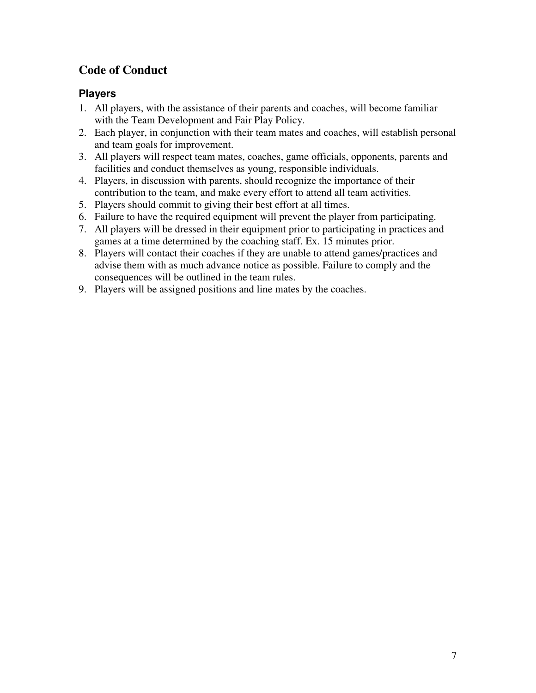### **Code of Conduct**

#### **Players**

- 1. All players, with the assistance of their parents and coaches, will become familiar with the Team Development and Fair Play Policy.
- 2. Each player, in conjunction with their team mates and coaches, will establish personal and team goals for improvement.
- 3. All players will respect team mates, coaches, game officials, opponents, parents and facilities and conduct themselves as young, responsible individuals.
- 4. Players, in discussion with parents, should recognize the importance of their contribution to the team, and make every effort to attend all team activities.
- 5. Players should commit to giving their best effort at all times.
- 6. Failure to have the required equipment will prevent the player from participating.
- 7. All players will be dressed in their equipment prior to participating in practices and games at a time determined by the coaching staff. Ex. 15 minutes prior.
- 8. Players will contact their coaches if they are unable to attend games/practices and advise them with as much advance notice as possible. Failure to comply and the consequences will be outlined in the team rules.
- 9. Players will be assigned positions and line mates by the coaches.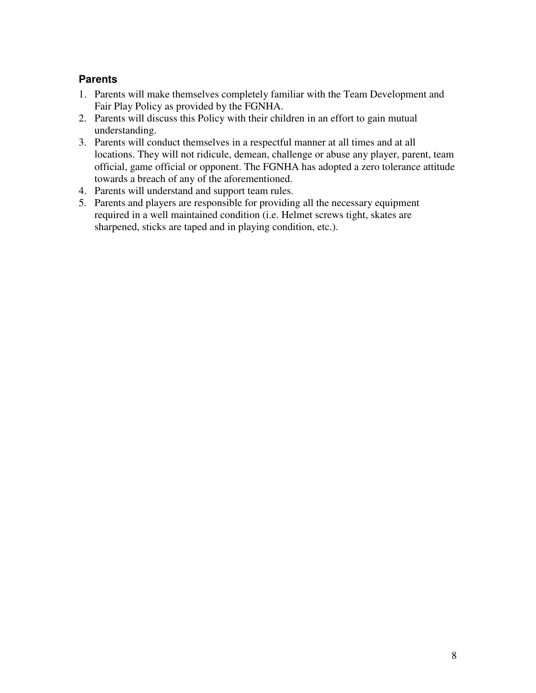#### **Parents**

- 1. Parents will make themselves completely familiar with the Team Development and Fair Play Policy as provided by the FGNHA.
- 2. Parents will discuss this Policy with their children in an effort to gain mutual understanding.
- 3. Parents will conduct themselves in a respectful manner at all times and at all locations. They will not ridicule, demean, challenge or abuse any player, parent, team official, game official or opponent. The FGNHA has adopted a zero tolerance attitude towards a breach of any of the aforementioned.
- 4. Parents will understand and support team rules.
- 5. Parents and players are responsible for providing all the necessary equipment required in a well maintained condition (i.e. Helmet screws tight, skates are sharpened, sticks are taped and in playing condition, etc.).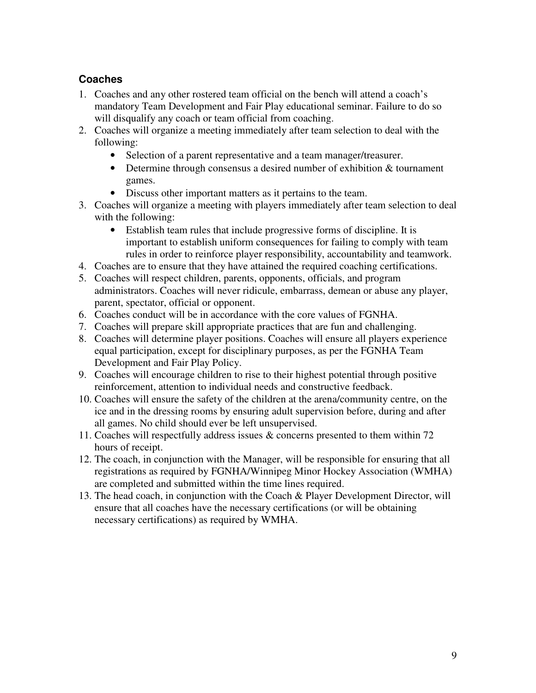#### **Coaches**

- 1. Coaches and any other rostered team official on the bench will attend a coach's mandatory Team Development and Fair Play educational seminar. Failure to do so will disqualify any coach or team official from coaching.
- 2. Coaches will organize a meeting immediately after team selection to deal with the following:
	- Selection of a parent representative and a team manager/treasurer.
	- Determine through consensus a desired number of exhibition & tournament games.
	- Discuss other important matters as it pertains to the team.
- 3. Coaches will organize a meeting with players immediately after team selection to deal with the following:
	- Establish team rules that include progressive forms of discipline. It is important to establish uniform consequences for failing to comply with team rules in order to reinforce player responsibility, accountability and teamwork.
- 4. Coaches are to ensure that they have attained the required coaching certifications.
- 5. Coaches will respect children, parents, opponents, officials, and program administrators. Coaches will never ridicule, embarrass, demean or abuse any player, parent, spectator, official or opponent.
- 6. Coaches conduct will be in accordance with the core values of FGNHA.
- 7. Coaches will prepare skill appropriate practices that are fun and challenging.
- 8. Coaches will determine player positions. Coaches will ensure all players experience equal participation, except for disciplinary purposes, as per the FGNHA Team Development and Fair Play Policy.
- 9. Coaches will encourage children to rise to their highest potential through positive reinforcement, attention to individual needs and constructive feedback.
- 10. Coaches will ensure the safety of the children at the arena/community centre, on the ice and in the dressing rooms by ensuring adult supervision before, during and after all games. No child should ever be left unsupervised.
- 11. Coaches will respectfully address issues & concerns presented to them within 72 hours of receipt.
- 12. The coach, in conjunction with the Manager, will be responsible for ensuring that all registrations as required by FGNHA/Winnipeg Minor Hockey Association (WMHA) are completed and submitted within the time lines required.
- 13. The head coach, in conjunction with the Coach & Player Development Director, will ensure that all coaches have the necessary certifications (or will be obtaining necessary certifications) as required by WMHA.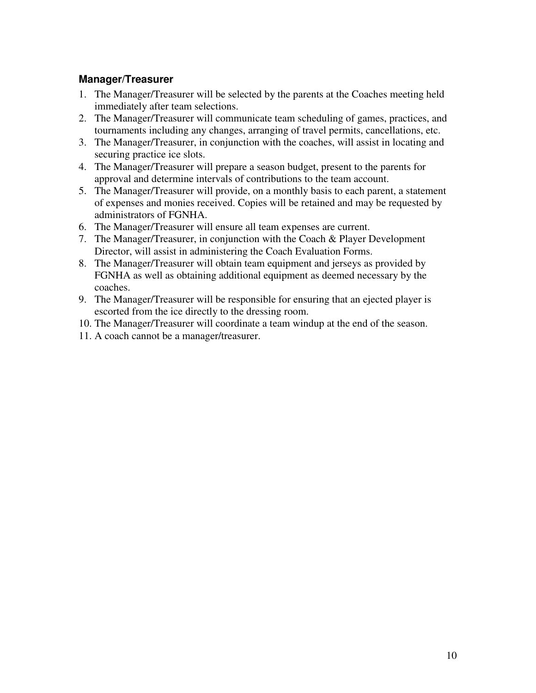#### **Manager/Treasurer**

- 1. The Manager/Treasurer will be selected by the parents at the Coaches meeting held immediately after team selections.
- 2. The Manager/Treasurer will communicate team scheduling of games, practices, and tournaments including any changes, arranging of travel permits, cancellations, etc.
- 3. The Manager/Treasurer, in conjunction with the coaches, will assist in locating and securing practice ice slots.
- 4. The Manager/Treasurer will prepare a season budget, present to the parents for approval and determine intervals of contributions to the team account.
- 5. The Manager/Treasurer will provide, on a monthly basis to each parent, a statement of expenses and monies received. Copies will be retained and may be requested by administrators of FGNHA.
- 6. The Manager/Treasurer will ensure all team expenses are current.
- 7. The Manager/Treasurer, in conjunction with the Coach & Player Development Director, will assist in administering the Coach Evaluation Forms.
- 8. The Manager/Treasurer will obtain team equipment and jerseys as provided by FGNHA as well as obtaining additional equipment as deemed necessary by the coaches.
- 9. The Manager/Treasurer will be responsible for ensuring that an ejected player is escorted from the ice directly to the dressing room.
- 10. The Manager/Treasurer will coordinate a team windup at the end of the season.
- 11. A coach cannot be a manager/treasurer.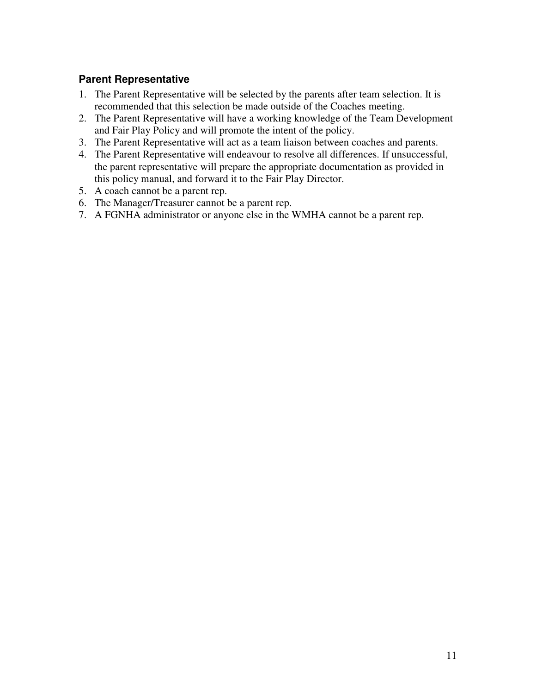#### **Parent Representative**

- 1. The Parent Representative will be selected by the parents after team selection. It is recommended that this selection be made outside of the Coaches meeting.
- 2. The Parent Representative will have a working knowledge of the Team Development and Fair Play Policy and will promote the intent of the policy.
- 3. The Parent Representative will act as a team liaison between coaches and parents.
- 4. The Parent Representative will endeavour to resolve all differences. If unsuccessful, the parent representative will prepare the appropriate documentation as provided in this policy manual, and forward it to the Fair Play Director.
- 5. A coach cannot be a parent rep.
- 6. The Manager/Treasurer cannot be a parent rep.
- 7. A FGNHA administrator or anyone else in the WMHA cannot be a parent rep.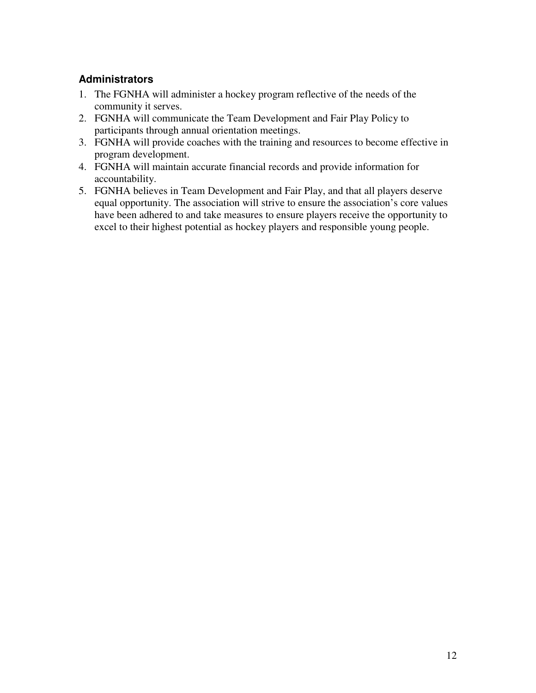#### **Administrators**

- 1. The FGNHA will administer a hockey program reflective of the needs of the community it serves.
- 2. FGNHA will communicate the Team Development and Fair Play Policy to participants through annual orientation meetings.
- 3. FGNHA will provide coaches with the training and resources to become effective in program development.
- 4. FGNHA will maintain accurate financial records and provide information for accountability.
- 5. FGNHA believes in Team Development and Fair Play, and that all players deserve equal opportunity. The association will strive to ensure the association's core values have been adhered to and take measures to ensure players receive the opportunity to excel to their highest potential as hockey players and responsible young people.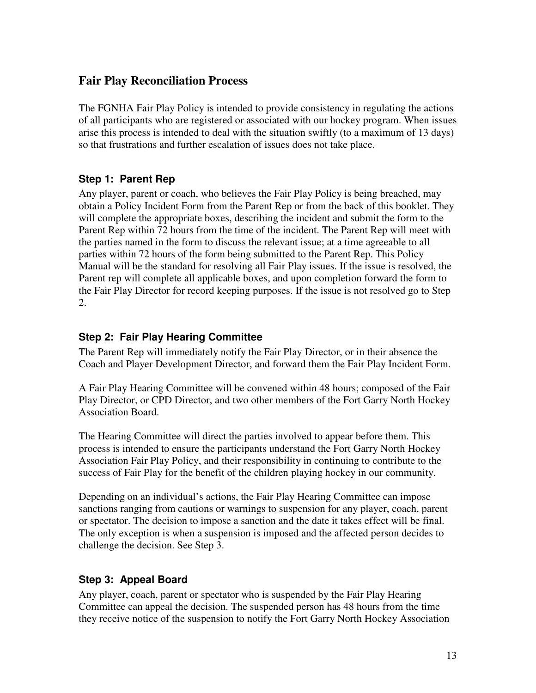#### **Fair Play Reconciliation Process**

The FGNHA Fair Play Policy is intended to provide consistency in regulating the actions of all participants who are registered or associated with our hockey program. When issues arise this process is intended to deal with the situation swiftly (to a maximum of 13 days) so that frustrations and further escalation of issues does not take place.

#### **Step 1: Parent Rep**

Any player, parent or coach, who believes the Fair Play Policy is being breached, may obtain a Policy Incident Form from the Parent Rep or from the back of this booklet. They will complete the appropriate boxes, describing the incident and submit the form to the Parent Rep within 72 hours from the time of the incident. The Parent Rep will meet with the parties named in the form to discuss the relevant issue; at a time agreeable to all parties within 72 hours of the form being submitted to the Parent Rep. This Policy Manual will be the standard for resolving all Fair Play issues. If the issue is resolved, the Parent rep will complete all applicable boxes, and upon completion forward the form to the Fair Play Director for record keeping purposes. If the issue is not resolved go to Step 2.

#### **Step 2: Fair Play Hearing Committee**

The Parent Rep will immediately notify the Fair Play Director, or in their absence the Coach and Player Development Director, and forward them the Fair Play Incident Form.

A Fair Play Hearing Committee will be convened within 48 hours; composed of the Fair Play Director, or CPD Director, and two other members of the Fort Garry North Hockey Association Board.

The Hearing Committee will direct the parties involved to appear before them. This process is intended to ensure the participants understand the Fort Garry North Hockey Association Fair Play Policy, and their responsibility in continuing to contribute to the success of Fair Play for the benefit of the children playing hockey in our community.

Depending on an individual's actions, the Fair Play Hearing Committee can impose sanctions ranging from cautions or warnings to suspension for any player, coach, parent or spectator. The decision to impose a sanction and the date it takes effect will be final. The only exception is when a suspension is imposed and the affected person decides to challenge the decision. See Step 3.

#### **Step 3: Appeal Board**

Any player, coach, parent or spectator who is suspended by the Fair Play Hearing Committee can appeal the decision. The suspended person has 48 hours from the time they receive notice of the suspension to notify the Fort Garry North Hockey Association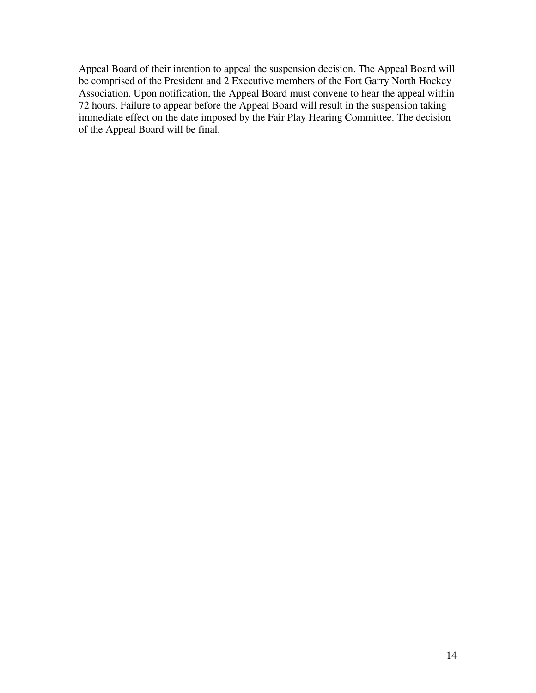Appeal Board of their intention to appeal the suspension decision. The Appeal Board will be comprised of the President and 2 Executive members of the Fort Garry North Hockey Association. Upon notification, the Appeal Board must convene to hear the appeal within 72 hours. Failure to appear before the Appeal Board will result in the suspension taking immediate effect on the date imposed by the Fair Play Hearing Committee. The decision of the Appeal Board will be final.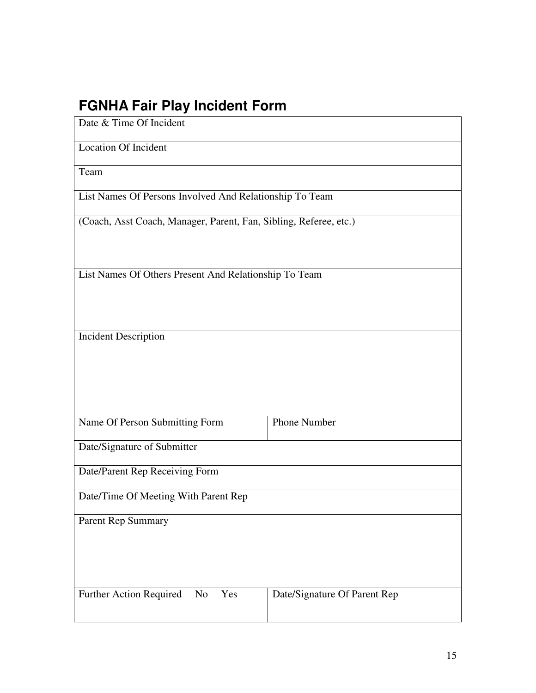# **FGNHA Fair Play Incident Form**

| Date & Time Of Incident                                           |                              |  |
|-------------------------------------------------------------------|------------------------------|--|
| <b>Location Of Incident</b>                                       |                              |  |
| Team                                                              |                              |  |
| List Names Of Persons Involved And Relationship To Team           |                              |  |
| (Coach, Asst Coach, Manager, Parent, Fan, Sibling, Referee, etc.) |                              |  |
|                                                                   |                              |  |
| List Names Of Others Present And Relationship To Team             |                              |  |
|                                                                   |                              |  |
|                                                                   |                              |  |
| <b>Incident Description</b>                                       |                              |  |
|                                                                   |                              |  |
|                                                                   |                              |  |
| Name Of Person Submitting Form                                    | Phone Number                 |  |
| Date/Signature of Submitter                                       |                              |  |
| Date/Parent Rep Receiving Form                                    |                              |  |
| Date/Time Of Meeting With Parent Rep                              |                              |  |
| Parent Rep Summary                                                |                              |  |
|                                                                   |                              |  |
|                                                                   |                              |  |
| Further Action Required<br>Yes<br>No                              | Date/Signature Of Parent Rep |  |